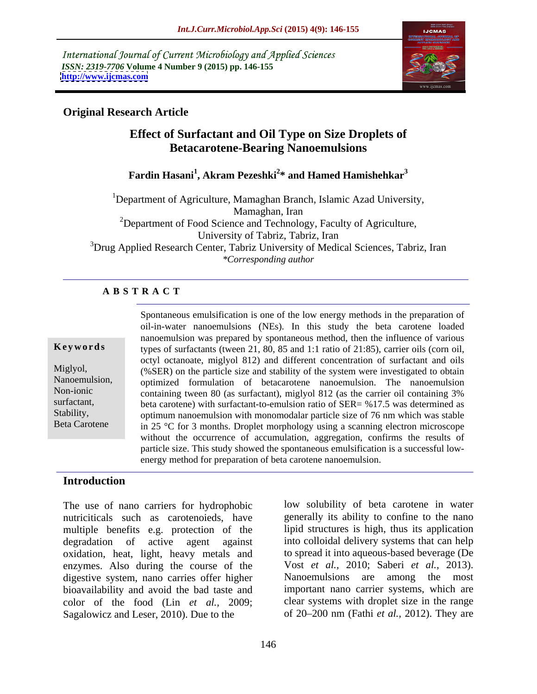International Journal of Current Microbiology and Applied Sciences *ISSN: 2319-7706* **Volume 4 Number 9 (2015) pp. 146-155 <http://www.ijcmas.com>**



# **Original Research Article**

# **Effect of Surfactant and Oil Type on Size Droplets of Betacarotene-Bearing Nanoemulsions**

# **Fardin Hasani<sup>1</sup> , Akram Pezeshki<sup>2</sup> \* and Hamed Hamishehkar<sup>3</sup>**

<sup>1</sup>Department of Agriculture, Mamaghan Branch, Islamic Azad University, Mamaghan, Iran <sup>2</sup>Department of Food Science and Technology, Faculty of Agriculture, University of Tabriz, Tabriz, Iran 3Drug Applied Research Center, Tabriz University of Medical Sciences, Tabriz, Iran *\*Corresponding author*

## **A B S T R A C T**

Beta Carotene

Spontaneous emulsification is one of the low energy methods in the preparation of oil-in-water nanoemulsions NEs). In this study the beta carotene loaded nanoemulsion was prepared by spontaneous method, then the influence of various octyl octanoate, miglyol 812) and different concentration of surfactant and oils Miglyol, (%SER) on the particle size and stability of the system were investigated to obtain Nanoemulsion, optimized formulation of betacarotene nanoemulsion. The nanoemulsion containing tween 80 (as surfactant), miglyol 812 (as the carrier oil containing 3% Non-ionic surfactant, beta carotene) with surfactant-to-emulsion ratio of SER= %17.5 was determined as Stability, optimum nanoemulsion with monomodalar particle size of 76 nm which was stable in 25 °C for 3 months. Droplet morphology using a scanning electron microscope without the occurrence of accumulation, aggregation, confirms the results of particle size. This study showed the spontaneous emulsification is a successful low energy method for preparation of beta carotene nanoemulsion. **Keywords** types of surfactants (tween 21, 80, 85 and 1:1 ratio of 21:85), carrier oils (corn oil,

## **Introduction**

The use of nano carriers for hydrophobic nutriciticals such as carotenoieds, have multiple benefits e.g. protection of the degradation of active agent against into colloidal delivery systems that can help oxidation, heat, light, heavy metals and enzymes. Also during the course of the digestive system, nano carries offer higher Nanoemulsions are among the most bioavailability and avoid the bad taste and color of the food (Lin *et al.,* 2009; Sagalowicz and Leser, 2010). Due to the

low solubility of beta carotene in water generally its ability to confine to the nano lipid structures is high, thus its application to spread it into aqueous-based beverage (De Vost *et al.,* 2010; Saberi *et al.,* 2013). Nanoemulsions are among the most important nano carrier systems, which are clear systems with droplet size in the range of 20 200 nm (Fathi *et al.,* 2012). They are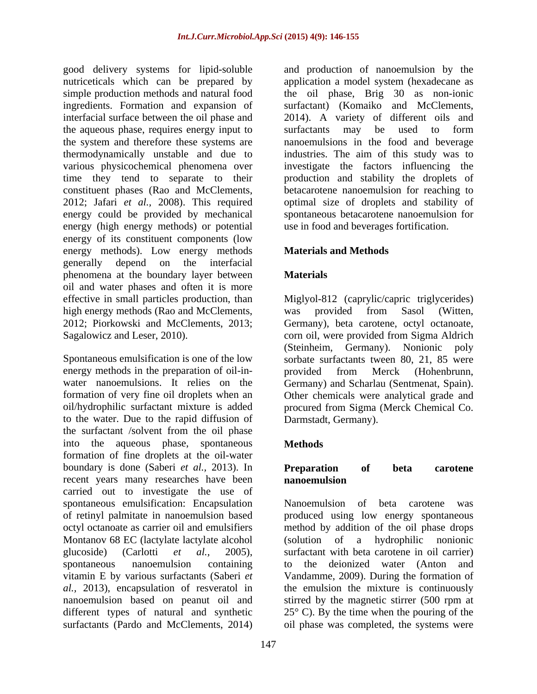the aqueous phase, requires energy input to surfactants may be used to form energy (high energy methods) or potential energy of its constituent components (low energy methods). Low energy methods generally depend on the interfacial phenomena at the boundary layer between **Materials** oil and water phases and often it is more effective in small particles production, than Miglyol-812 (caprylic/capric triglycerides) high energy methods (Rao and McClements, was provided from Sasol (Witten, 2012; Piorkowski and McClements, 2013; Germany), beta carotene, octyl octanoate, Sagalowicz and Leser, 2010). corn oil, were provided from Sigma Aldrich

Spontaneous emulsification is one of the low energy methods in the preparation of oil-in-<br>provided from Merck (Hohenbrunn, to the water. Due to the rapid diffusion of the surfactant /solvent from the oil phase into the aqueous phase, spontaneous formation of fine droplets at the oil-water boundary is done (Saberi *et al.*, 2013). In **Preparation of beta carotene** recent years many researches have been **nanoemulsion** carried out to investigate the use of spontaneous emulsification: Encapsulation Manoemulsion of beta carotene was Montanov 68 EC (lactylate lactylate alcohol (solution of a hydrophilic nonionic

good delivery systems for lipid-soluble and production of nanoemulsion by the nutriceticals which can be prepared by application a model system (hexadecane as simple production methods and natural food the oil phase, Brig 30 as non-ionic ingredients. Formation and expansion of surfactant) (Komaiko and McClements, interfacial surface between the oil phase and 2014). A variety of different oils and the system and therefore these systems are nanoemulsions in the food and beverage thermodynamically unstable and due to industries. The aim of this study was to various physicochemical phenomena over investigate the factors influencing the time they tend to separate to their production and stability the droplets of constituent phases (Rao and McClements, betacarotene nanoemulsion for reaching to 2012; Jafari *et al.,* 2008). This required optimal size of droplets and stability of energy could be provided by mechanical spontaneous betacarotene nanoemulsion for surfactants may be used to form use in food and beverages fortification.

# **Materials and Methods**

# **Materials**

Germany), beta carotene, octyl octanoate, water nanoemulsions. It relies on the Germany) and Scharlau (Sentmenat, Spain). formation of very fine oil droplets when an Other chemicals were analytical grade and oil/hydrophilic surfactant mixture is added procured from Sigma (Merck Chemical Co. was provided from Sasol (Witten, Germany), beta carotene, octyl octanoate, corn oil, were provided from Sigma Aldrich (Steinheim, Germany). Nonionic poly sorbate surfactants tween 80, 21, 85 were provided from Merck (Hohenbrunn, Darmstadt, Germany).

# **Methods**

## **Preparation of beta carotene nanoemulsion**

of retinyl palmitate in nanoemulsion based produced using low energy spontaneous octyl octanoate as carrier oil and emulsifiers method by addition of the oil phase drops glucoside) (Carlotti *et al.,* 2005), surfactant with beta carotene in oil carrier) spontaneous nanoemulsion containing to the deionized water (Anton and vitamin E by various surfactants (Saberi *et*  Vandamme, 2009). During the formation of *al.,* 2013), encapsulation of resveratol in the emulsion the mixture is continuously nanoemulsion based on peanut oil and stirred by the magnetic stirrer (500 rpm at different types of natural and synthetic 25° C). By the time when the pouring of the surfactants (Pardo and McClements, 2014) oil phase was completed, the systems were Nanoemulsion of beta carotene was (solution of a hydrophilic nonionic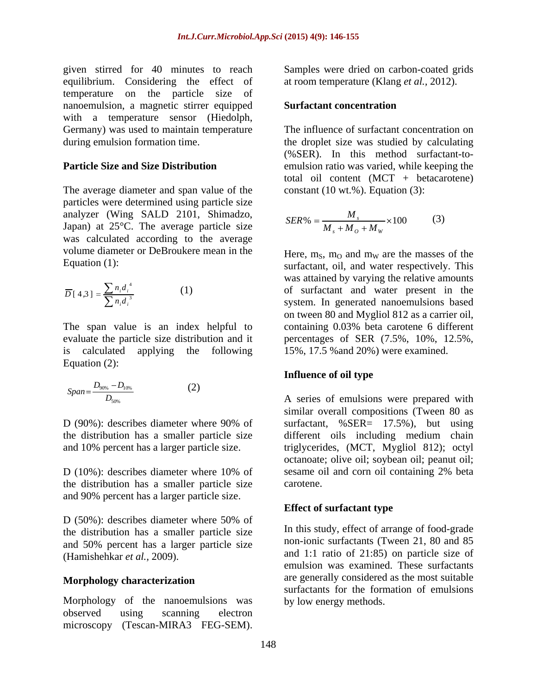given stirred for 40 minutes to reach Sampleswere dried on carbon-coated grids equilibrium. Considering the effect of temperature on the particle size of nanoemulsion, a magnetic stirrer equipped with a temperature sensor (Hiedolph, Germany) was used to maintain temperature

The average diameter and span value of the particles were determined using particle size analyzer (Wing SALD 2101, Shimadzo, Japan) at 25°C. The average particle size was calculated according to the average volume diameter or DeBroukere mean in the  $\mu$  Here, m<sub>S</sub>, m<sub>O</sub> and m<sub>W</sub> are the masses of the

$$
\overline{D}[4,3] = \frac{\sum n_i d_i^4}{\sum n_i d_i^3}
$$
 (1)

The span value is an index helpful to containing 0.03% beta carotene 6 different evaluate the particle size distribution and it percentages of SER (7.5%, 10%, 12.5%, is calculated applying the following 15%, 17.5 %and 20%) were examined. Equation (2):

$$
Span = \frac{D_{90\%} - D_{10\%}}{D_{50\%}}
$$
 (2) A series of emulsions were prepared with

the distribution has a smaller particle size and 90% percent has a larger particle size.

D (50%): describes diameter where 50% of the distribution has a smaller particle size and 50% percent has a larger particle size

## **Morphology characterization**

Morphology of the nanoemulsions was bylow energy methods. observed using scanning electron microscopy (Tescan-MIRA3 FEG-SEM).

at room temperature (Klang *et al.,* 2012).

## **Surfactant concentration**

during emulsion formation time. the droplet size was studied by calculating **Particle Size and Size Distribution** emulsion ratio was varied, while keeping the The influence of surfactant concentration on (%SER). In this method surfactant-to total oil content  $(MCT + betacarotene)$ constant  $(10 \text{ wt.})$ . Equation  $(3)$ :

$$
SER\% = \frac{M_s}{M_s + M_o + M_w} \times 100\tag{3}
$$

Equation (1):<br>
Surfactant, oil, and water respectively. This<br>
was attained by varying the relative amounts<br>  $\overline{D} [4,3] = \frac{\sum n_i d_i^4}{\sum n_i d_i^3}$  (1)<br>
of surfactant and water present in the  $4 \quad \overline{\phantom{a}}$  $[4,3] = \frac{\sum n_i d_i^4}{\sum n_i d_i^4}$  (1) of surfactant and water present in the  $n_i d_i$ <sup>3</sup> system. In generated nanoemulsions based  $D[4,3] = \frac{24}{24}$  (1) or suitable and water present in the Here,  $m_S$ ,  $m_O$  and  $m_W$  are the masses of the surfactant, oil, and water respectively. This was attained by varying the relative amounts on tween 80 and Mygliol <sup>812</sup> as a carrier oil, containing 0.03% beta carotene <sup>6</sup> different

## **Influence of oil type**

D (90%): describes diameter where 90% of surfactant, %SER= 17.5%), but using the distribution has a smaller particle size different oils including medium chain and 10% percent has a larger particle size. triglycerides, (MCT, Mygliol 812); octyl D (10%): describes diameter where 10% of sesame oil and corn oil containing 2% beta A series of emulsions were prepared with *D* similar overall compositions (Tween 80 as octanoate; olive oil; soybean oil; peanut oil; sesame oil and corn oil containing 2% beta carotene. A selectibes diameter where 90% of<br>similar overall compositions (Tween 80 as<br>lescribes diameter where 90% of<br>surfactant, %SER= 17.5%), but using<br>different oils including medium chain<br>rcent has a larger particle size.<br>trans

## **Effect of surfactant type**

(Hamishehkar *et al.*, 2009).  $\overline{\phantom{a}}$  and 1:1 ratio of 21:85) on particle size of In this study, effect of arrange of food-grade non-ionic surfactants (Tween 21, 80 and 85 emulsion was examined. These surfactants are generally considered as the most suitable surfactants for the formation of emulsions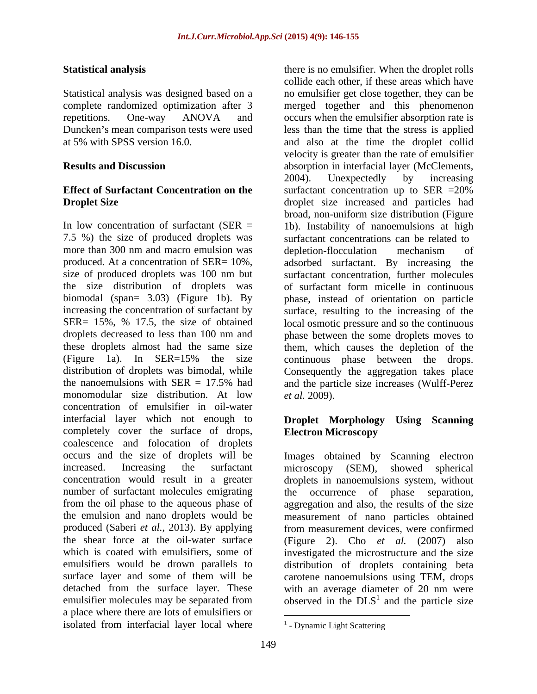Statistical analysis was designed based on a Duncken's mean comparison tests were used<br>at 5% with SPSS version 16.0.

7.5 %) the size of produced droplets was more than 300 nm and macro emulsion was depletion-flocculation mechanism of (Figure 1a). In SER=15% the size continuous phase between the drops.<br>distribution of droplets was bimodal, while Consequently the aggregation takes place monomodular size distribution. At low concentration of emulsifier in oil-water interfacial layer which not enough to **Droplet Morphology Using Scanning**  completely cover the surface of drops, Electron Microscopy coalescence and folocation of droplets occurs and the size of droplets will be increased. Increasing the surfactant microscopy (SEM), showed spherical concentration would result in a greater droplets in nanoemulsions system, without number of surfactant molecules emigrating from the oil phase to the aqueous phase of aggregation and also, the results of the size the emulsion and nano droplets would be measurement of nano particles obtained produced (Saberi *et al.,* 2013). By applying from measurement devices, were confirmed the shear force at the oil-water surface (Figure 2). Cho *et al.* (2007) also which is coated with emulsifiers, some of investigated the microstructure and the size emulsifiers would be drown parallels to distribution of droplets containing beta surface layer and some of them will be carotene nanoemulsions using TEM, drops detached from the surface layer. These with an average diameter of 20 nm were emulsifier molecules may be separated from  $\qquad \qquad$  observed in the  $DLS<sup>1</sup>$  and the particle size a place where there are lots of emulsifiers or isolated from interfacial layer local where

**Statistical analysis** there is no emulsifier. When the droplet rolls complete randomized optimization after 3 merged together and this phenomenon repetitions. One-way ANOVA and occurs when the emulsifier absorption rate is at 5% with SPSS version 16.0. and also at the time the droplet collid **Results and Discussion** absorption in interfacial layer (McClements, **Effect of Surfactant Concentration on the** surfactant concentration up to SER =20% **Droplet Size droplet** size increased and particles had In low concentration of surfactant (SER = 1b). Instability of nanoemulsions at high produced. At a concentration of SER= 10%, adsorbed surfactant. By increasing the size of produced droplets was 100 nm but surfactant concentration, further molecules the size distribution of droplets was of surfactant form micelle in continuous biomodal (span= 3.03) (Figure 1b). By phase, instead of orientation on particle increasing the concentration of surfactant by surface, resulting to the increasing of the SER= 15%, % 17.5, the size of obtained local osmotic pressure and so the continuous droplets decreased to less than 100 nm and phase between the some droplets moves to these droplets almost had the same size them, which causes the depletion of the Consequently the aggregation takes place the nanoemulsions with SER = 17.5% had and the particle size increases(Wulff-Perez collide each other, if these areas which have no emulsifier get close together, they can be less than the time that the stress is applied velocity is greater than the rate of emulsifier 2004). Unexpectedly by increasing broad, non-uniform size distribution (Figure surfactant concentrations can be related to depletion-flocculation mechanism of adsorbed surfactant. By increasing the surfactant concentration, further molecules continuous phase between the drops. Consequently the aggregation takes place *et al.* 2009).

# **Electron Microscopy**

Images obtained by Scanning electron microscopy (SEM), showed spherical the occurrence of phase separation, with an average diameter of 20 nm were and the particle size

 $\frac{1}{1}$  Dynamic Light Scottering  $<sup>1</sup>$  - Dynamic Light Scattering</sup>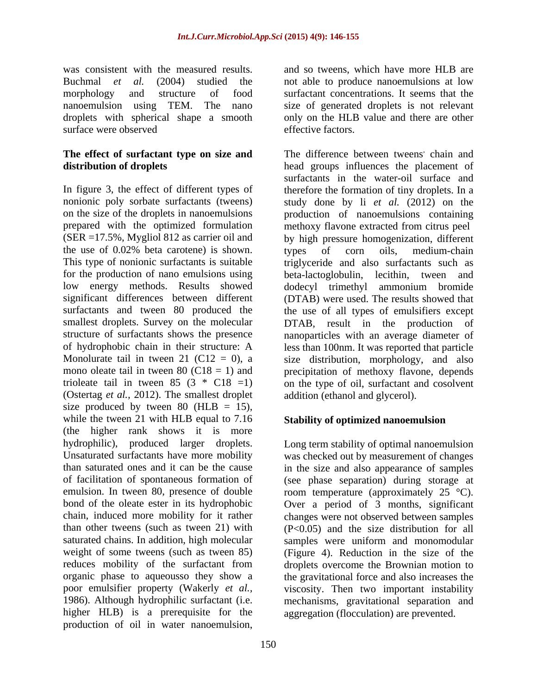was consistent with the measured results. and so tweens, which have more HLB are<br>Buchmal *et al.* (2004) studied the not able to produce nanoemulsions at low morphology and structure of food surfactant concentrations. It seems that the nanoemulsion using TEM. The nano size of generated droplets is not relevant droplets with spherical shape a smooth only on the HLB value and there are other surface were observed effective factors.

# **The effect of surfactant type on size and**

(Ostertag *et al.,* 2012). The smallest droplet size produced by tween 80 ( $HLB = 15$ ), while the tween 21 with HLB equal to 7.16 (the higher rank shows it is more saturated chains. In addition, high molecular samples were uniform and monomodular poor emulsifier property (Wakerly *et al.,* higher HLB) is a prerequisite for the production of oil in water nanoemulsion,

and so tweens, which have more HLB are not able to produce nanoemulsions at low effective factors.

**distribution of droplets** head groups influences the placement of In figure 3, the effect of different types of therefore the formation of tiny droplets. In a nonionic poly sorbate surfactants (tweens) study done by li *et al.* (2012) on the on the size of the droplets in nanoemulsions production of nanoemulsions containing prepared with the optimized formulation methoxy flavone extracted from citrus peel (SER =17.5%, Mygliol 812 as carrier oil and by high pressure homogenization, different the use of 0.02% beta carotene) is shown. types of corn oils, medium-chain<br>This type of nonionic surfactants is suitable triglyceride and also surfactants such as for the production of nano emulsions using beta-lactoglobulin, lecithin, tween and low energy methods. Results showed dodecyl trimethyl ammonium bromide significant differences between different (DTAB) were used. The results showed that surfactants and tween 80 produced the the use of all types of emulsifiers except smallest droplets. Survey on the molecular DTAB, result in the production of structure of surfactants shows the presence nanoparticles with an average diameter of of hydrophobic chain in their structure: A less than 100nm. It was reported that particle Monolurate tail in tween 21 (C12 = 0), a size distribution, morphology, and also mono oleate tail in tween  $80$  (C18 = 1) and precipitation of methoxy flavone, depends trioleate tail in tween 85 (3  $*$  C18 =1) on the type of oil, surfactant and cosolvent The difference between tweens' chain and , chain and surfactants in the water-oil surface and types of corn oils, medium-chain triglyceride and also surfactants such as addition (ethanol and glycerol).

## **Stability of optimized nanoemulsion**

hydrophilic), produced larger droplets. Long term stability of optimal nanoemulsion Unsaturated surfactants have more mobility was checked out by measurement of changes than saturated ones and it can be the cause in the size and also appearance of samples of facilitation of spontaneous formation of (see phase separation) during storage at emulsion. In tween 80, presence of double room temperature (approximately 25 °C). bond of the oleate ester in its hydrophobic Over a period of 3 months, significant chain, induced more mobility for it rather changes were not observed between samples than other tweens (such as tween 21) with  $(P<0.05)$  and the size distribution for all weight of some tweens (such as tween 85) (Figure 4). Reduction in the size of the reduces mobility of the surfactant from droplets overcome the Brownian motion to organic phase to aqueousso they show a the gravitational force and also increases the 1986). Although hydrophilic surfactant (i.e. mechanisms, gravitational separation and samples were uniform and monomodular viscosity. Then two important instability aggregation (flocculation) are prevented.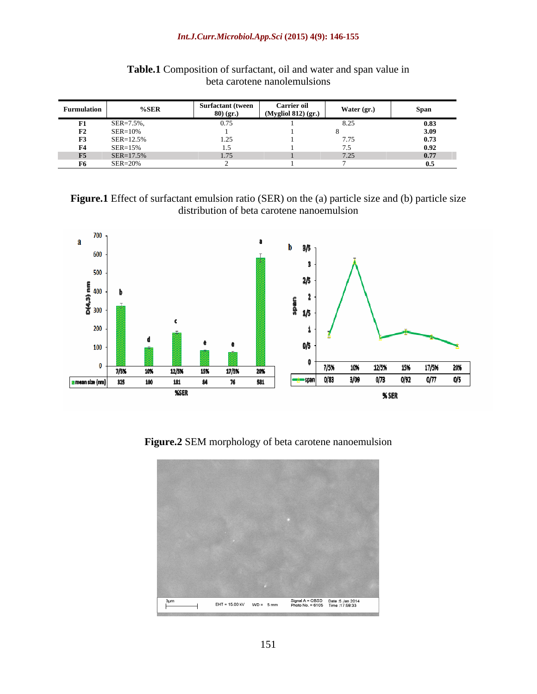### *Int.J.Curr.Microbiol.App.Sci* **(2015) 4(9): 146-155**

| <b>Furmulatio</b> | $%$ SER            | Surfactant (tween | <b>Carrier oil</b> | Water (or.) | Span |
|-------------------|--------------------|-------------------|--------------------|-------------|------|
|                   |                    | - 80) (ør.        | $(M$ valiol 812)   |             |      |
|                   | $SER = 7.5$        |                   |                    |             |      |
| <b>TA</b>         | $SER=10\%$         |                   |                    |             |      |
| <b>F2</b>         | $SER = 12.5$       |                   |                    |             |      |
| F4                | $SER = 15$         |                   |                    |             |      |
| <b>F5</b>         | $SEK=1/$ .         |                   |                    |             |      |
| . нъ              | $SER = 20^{\circ}$ |                   |                    |             |      |

**Table.1** Composition of surfactant, oil and water and span value in beta carotene nanolemulsions

Figure.1 Effect of surfactant emulsion ratio (SER) on the (a) particle size and (b) particle size distribution of beta carotene nanoemulsion



**Figure.2** SEM morphology of beta carotene nanoemulsion

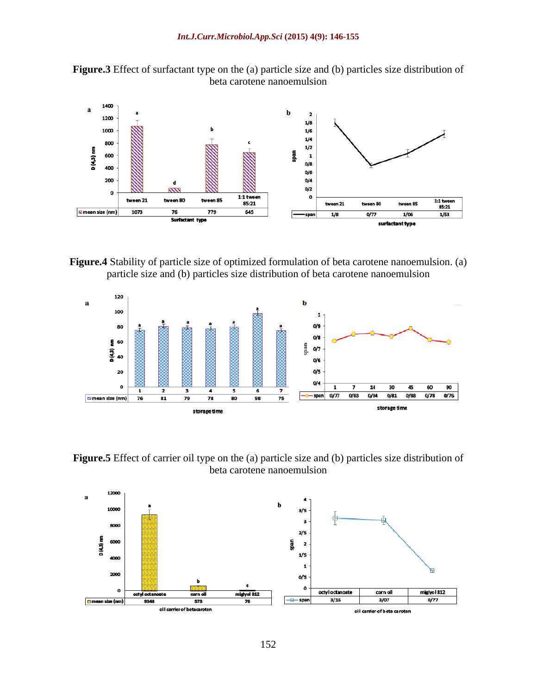**Figure.3** Effect of surfactant type on the (a) particle size and (b) particles size distribution of beta carotene nanoemulsion



**Figure.4** Stability of particle size of optimized formulation of beta carotene nanoemulsion. (a) particle size and (b) particles size distribution of beta carotene nanoemulsion



**Figure.5** Effect of carrier oil type on the (a) particle size and (b) particles size distribution of beta carotene nanoemulsion

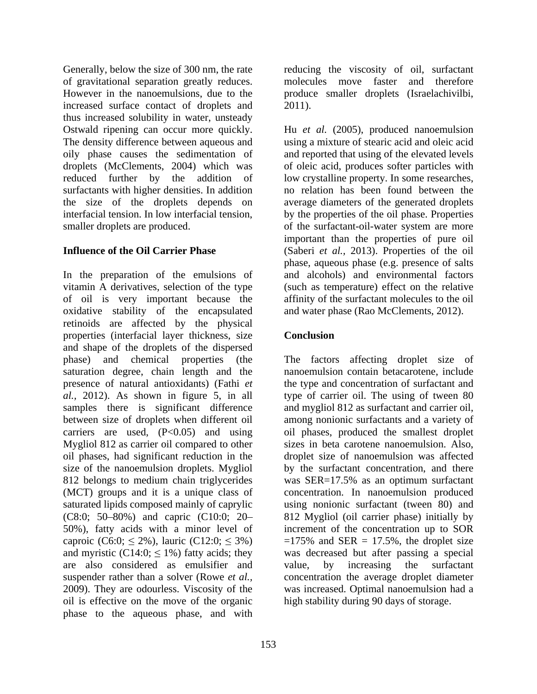Generally, below the size of 300 nm, the rate reducing the viscosity of oil, surfactant of gravitational separation greatly reduces. However in the nanoemulsions, due to the produce smaller droplets (Israelachivilbi, increased surface contact of droplets and 2011). thus increased solubility in water, unsteady reduced further by the addition of low crystalline property. In some researches, surfactants with higher densities. In addition and relation has been found between the

In the preparation of the emulsions of vitamin A derivatives, selection of the type of oil is very important because the affinity of the surfactant molecules to the oil oxidative stability of the encapsulated retinoids are affected by the physical properties (interfacial layer thickness, size and shape of the droplets of the dispersed saturation degree, chain length and the samples there is significant difference and mygliol 812 as surfactant and carrier oil, between size of droplets when different oil among nonionic surfactants and a variety of carriers are used,  $(P<0.05)$  and using Mygliol 812 as carrier oil compared to other oil phases, had significant reduction in the saturated lipids composed mainly of caprylic caproic (C6:0;  $\leq$  2%), lauric (C12:0;  $\leq$  3%) are also considered as emulsifier and value, by increasing the surfactant oil is effective on the move of the organic phase to the aqueous phase, and with

molecules move faster and therefore 2011).

Ostwald ripening can occur more quickly. Hu *et al.* (2005), produced nanoemulsion The density difference between aqueous and using a mixture of stearic acid and oleic acid oily phase causes the sedimentation of and reported that using of the elevated levels droplets (McClements, 2004) which was of oleic acid, produces softer particles with the size of the droplets depends on average diameters of the generated droplets interfacial tension. In low interfacial tension, by the properties of the oil phase. Properties smaller droplets are produced.  $\qquad \qquad$  of the surfactant-oil-water system are more **Influence of the Oil Carrier Phase** (Saberi *et al.,* 2013). Properties of the oil low crystalline property. In some researches, no relation has been found between the important than the properties of pure oil phase, aqueous phase (e.g. presence of salts and alcohols) and environmental factors (such as temperature) effect on the relative and water phase (Rao McClements, 2012).

# **Conclusion**

phase) and chemical properties (the The factors affecting droplet size of presence of natural antioxidants) (Fathi *et* the type and concentration of surfactant and *al.,* 2012). As shown in figure 5, in all type of carrier oil. The using of tween 80 size of the nanoemulsion droplets. Mygliol by the surfactant concentration, and there 812 belongs to medium chain triglycerides was SER=17.5% as an optimum surfactant (MCT) groups and it is a unique class of concentration. In nanoemulsion produced (C8:0; 50 80%) and capric (C10:0; 20 812 Mygliol (oil carrier phase) initially by 50%), fatty acids with a minor level of increment of the concentration up to SOR and myristic  $(C14:0; \leq 1\%)$  fatty acids; they was decreased but after passing a special suspender rather than a solver (Rowe *et al.*, concentration the average droplet diameter 2009). They are odourless. Viscosity of the was increased. Optimal nanoemulsion had a nanoemulsion contain betacarotene, include and mygliol 812 as surfactant and carrier oil, among nonionic surfactants and <sup>a</sup> variety of oil phases, produced the smallest droplet sizes in beta carotene nanoemulsion. Also, droplet size of nanoemulsion was affected using nonionic surfactant (tween 80) and  $=175\%$  and SER = 17.5%, the droplet size value, by increasing the surfactant high stability during 90 days of storage.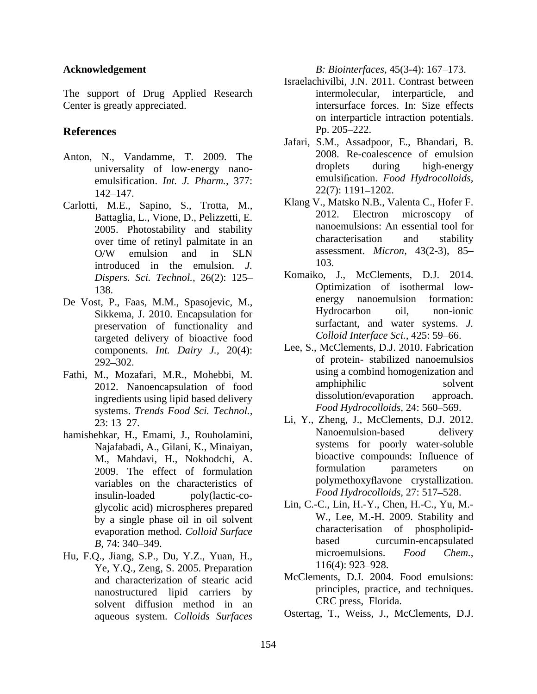- universality of low-energy nano emulsification. *Int. J. Pharm.*, 377: emulsitication. *Fo*<br>142, 147 22(7): 1191–1202.  $142-147.$   $22(7): 1191-1202.$
- Carlotti, M.E., Sapino, S., Trotta, M., Klang V., Matsko N.B., Valenta C., Hoter F.<br>Betteckie L. Viene D. Polizzatti E. 2012. Electron microscopy of Battaglia, L., Vione, D., Pelizzetti, E. over time of retinyl palmitate in an introduced in the emulsion. *J. Dispers. Sci. Technol.,* 26(2): 125
- Sikkema, J. 2010. Encapsulation for preservation of functionality and targeted delivery of bioactive food components. *Int. Dairy J.,* 20(4):
- Fathi, M., Mozafari, M.R., Mohebbi, M. using a combind homogenization and<br>2012 Nanoencansulation of food amphiphilic solvent ingredients using lipid based delivery systems. *Trends Food Sci. Technol.,*
- Najafabadi, A., Gilani, K., Minaiyan, 2009. The effect of formulation variables on the characteristics of insulin-loaded poly(lactic-co-<br> $\frac{Food\;Hydrocolloids, 21:517-528.}{10000}$ glycolic acid) microspheres prepared by a single phase oil in oil solvent
- Ye, Y.Q., Zeng, S. 2005. Preparation and characterization of stearic acid nanostructured lipid carriers by solvent diffusion method in an aqueous system. *Colloids Surfaces*

**Acknowledgement** *B: Biointerfaces,* 45(3-4): 167–173.

- The support of Drug Applied Research intermolecular, interparticle, and Center is greatly appreciated. intersurface forces. In: Size effects **References** Pp. 205–222. Israelachivilbi, J.N. 2011. Contrast between intermolecular, interparticle, and on interparticle intraction potentials. Pp. 205–222.
- Anton, N., Vandamme, T. 2009. The 2008. Re-coalescence of emulsion<br>universality of low-energy nano-<br>droplets during high-energy Jafari, S.M., Assadpoor, E., Bhandari, B. 2008. Re-coalescence of emulsion droplets during high-energy emulsification. Food Hydrocolloids, 22(7): 1191 1202.
	- 2005. Photostability and stability and stability nanoemulsions: An essential tool for  $\alpha$  characterisation and stability  $O/W$  emulsion and in SLN assessment. *Micron*, 43(2-3), 85– Klang V., Matsko N.B., Valenta C., Hofer F. 2012. Electron microscopy nanoemulsions: An essential tool for characterisation and stability assessment. *Micron,* 43(2-3), 85 103.
- 138. Optimization of isothermal low- De Vost, P., Faas, M.M., Spasojevic, M., energy nanoemulsion formation:<br>
Sikkema I 2010 Encapsulation for Hydrocarbon oil, non-ionic Komaiko, J., McClements, D.J. 2014. energy nanoemulsion formation: Hydrocarbon oil, non-ionic surfactant, and water systems. *J. Colloid Interface Sci., 425: 59-66.* 
	- 292–302. Comprehensive contract of protein-stabilized nanoemulsios 2012. Nanoencapsulation of food amphiphilic solvent<br>ingredients using linid based delivery dissolution/evaporation approach. Lee, S., McClements, D.J. 2010. Fabrication of protein- stabilized nanoemulsios using a combind homogenization and amphiphilic solvent dissolution/evaporation approach. *Food Hydrocolloids, 24: 560–569.*
- 23: 13 27. Li, Y., Zheng, J., McClements, D.J. 2012. hamishehkar, H., Emami, J., Rouholamini, M., Mahdavi, H., Nokhodchi, A.<br>2009 The effect of formulation and formulation parameters on Nanoemulsion-based delivery systems for poorly water-soluble bioactive compounds: Influence of formulation parameters on polymethoxyflavone crystallization. *Food Hydrocolloids*, 27: 517-528.
- evaporation method. *Colloid Surface* characterisation of phospholipid-<br>B 74: 340, 349 curcumin-encapsulated *B*, 74: 340–349. Hu, F.Q., Jiang, S.P., Du, Y.Z., Yuan, H., microemulsions. Food Chem.,<br>
Ye Y.O. Zeng S. 2005 Preparation 116(4): 923–928. Lin, C.-C., Lin, H.-Y., Chen, H.-C., Yu, M.- W., Lee, M.-H. 2009. Stability and characterisation of phospholipid based curcumin-encapsulated microemulsions. *Food Chem.,*  $116(4)$ : 923–928.
	- McClements, D.J. 2004. Food emulsions: principles, practice, and techniques. CRC press, Florida.
	- Ostertag, T., Weiss, J., McClements, D.J.